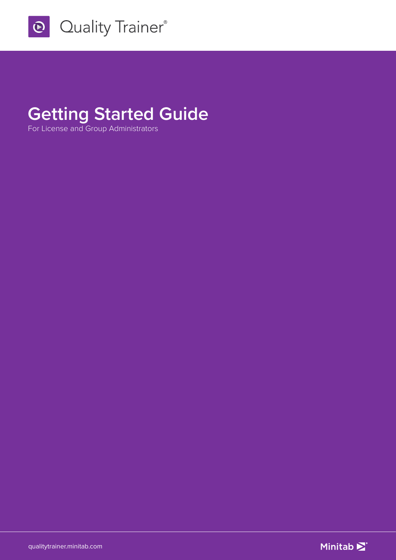

# **Getting Started Guide**

For License and Group Administrators

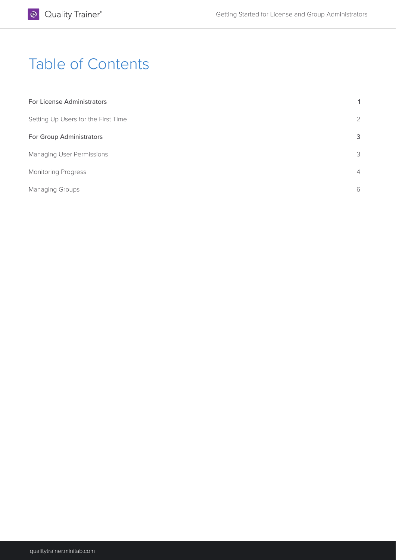# Table of Contents

| For License Administrators          | 1              |
|-------------------------------------|----------------|
| Setting Up Users for the First Time | 2              |
| For Group Administrators            | 3              |
| <b>Managing User Permissions</b>    | 3              |
| <b>Monitoring Progress</b>          | $\overline{4}$ |
| <b>Managing Groups</b>              | 6              |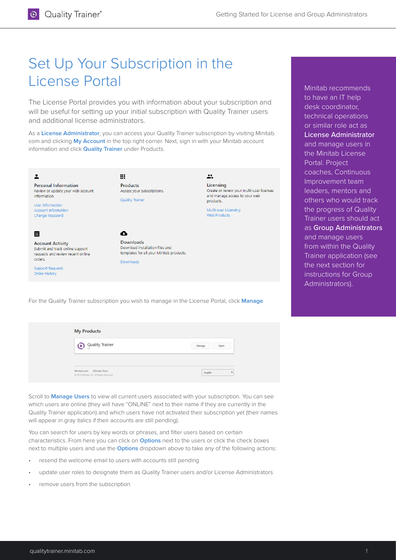## Set Up Your Subscription in the License Portal

The License Portal provides you with information about your subscription and will be useful for setting up your initial subscription with Quality Trainer users and additional license administrators.

As a **License Administrator**, you can access your Quality Trainer subscription by visiting Minitab. com and clicking **My Account** in the top right corner. Next, sign in with your Minitab account information and click **Quality Trainer** under Products.



For the Quality Trainer subscription you wish to manage in the License Portal, click **Manage**.

| <b>Quality Trainer</b> | Manage<br>Open |
|------------------------|----------------|
|                        |                |
|                        |                |
|                        |                |
|                        |                |

Scroll to **Manage Users** to view all current users associated with your subscription. You can see which users are online (they will have "ONLINE" next to their name if they are currently in the Quality Trainer application) and which users have not activated their subscription yet (their names will appear in gray italics if their accounts are still pending).

You can search for users by key words or phrases, and filter users based on certain characteristics. From here you can click on **Options** next to the users or click the check boxes next to multiple users and use the **Options** dropdown above to take any of the following actions:

- resend the welcome email to users with accounts still pending
- update user roles to designate them as Quality Trainer users and/or License Administrators
- remove users from the subscription

desk coordinator, technical operations or similar role act as License Administrator and manage users in the Minitab License Portal. Project coaches, Continuous Improvement team leaders, mentors and others who would track the progress of Quality Trainer users should act as Group Administrators and manage users from within the Quality Trainer application (see the next section for instructions for Group

Administrators).

Minitab recommends to have an IT help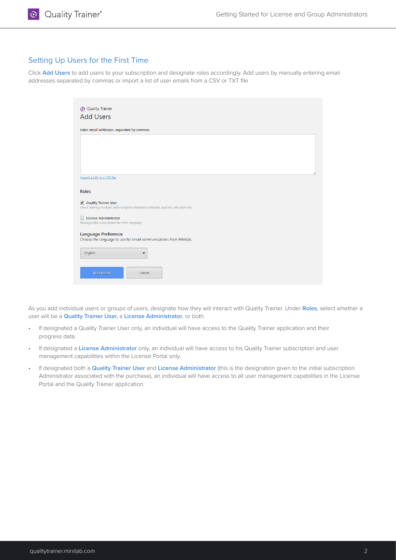### Setting Up Users for the First Time

Click **Add Users** to add users to your subscription and designate roles accordingly. Add users by manually entering email addresses separated by commas or import a list of user emails from a CSV or TXT file

| Enter email addresses, separated by commas.                                                                  |                                                                                   |  |  |
|--------------------------------------------------------------------------------------------------------------|-----------------------------------------------------------------------------------|--|--|
|                                                                                                              |                                                                                   |  |  |
|                                                                                                              |                                                                                   |  |  |
|                                                                                                              |                                                                                   |  |  |
|                                                                                                              |                                                                                   |  |  |
|                                                                                                              |                                                                                   |  |  |
| Import a CSV or a TXT file                                                                                   |                                                                                   |  |  |
|                                                                                                              |                                                                                   |  |  |
| <b>Roles</b>                                                                                                 |                                                                                   |  |  |
|                                                                                                              |                                                                                   |  |  |
|                                                                                                              |                                                                                   |  |  |
|                                                                                                              |                                                                                   |  |  |
|                                                                                                              | Views training modules and completes interactive lessons, quizzes, and exercises. |  |  |
| <b>License Administrator</b>                                                                                 |                                                                                   |  |  |
|                                                                                                              |                                                                                   |  |  |
|                                                                                                              |                                                                                   |  |  |
|                                                                                                              |                                                                                   |  |  |
|                                                                                                              | Choose the language to use for email communications from Minitab.                 |  |  |
| Quality Trainer User<br>Manages the subscription for their company.<br><b>Language Preference</b><br>English | $\blacktriangledown$                                                              |  |  |

As you add individual users or groups of users, designate how they will interact with Quality Trainer. Under **Roles**, select whether a user will be a **Quality Trainer User,** a **License Administrator**, or both.

- If designated a Quality Trainer User only, an individual will have access to the Quality Trainer application and their progress data.
- If designated a **License Administrator** only, an individual will have access to his Quality Trainer subscription and user management capabilities within the License Portal only.
- If designated both a **Quality Trainer User** and **License Administrator** (this is the designation given to the initial subscription Administrator associated with the purchase), an individual will have access to all user management capabilities in the License Portal and the Quality Trainer application.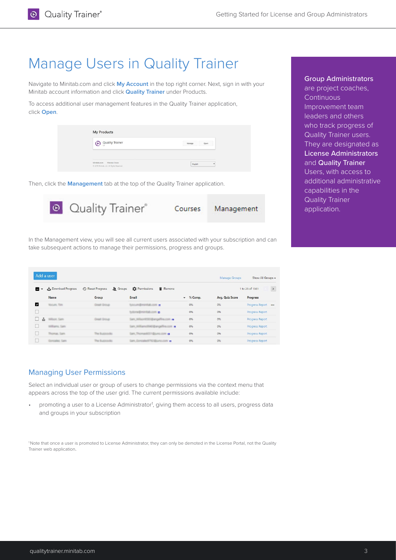## Manage Users in Quality Trainer

Navigate to Minitab.com and click **My Account** in the top right corner. Next, sign in with your Minitab account information and click **Quality Trainer** under Products.

To access additional user management features in the Quality Trainer application, click **Open**.

| Quality Trainer | Open<br>Manage |
|-----------------|----------------|
|                 |                |
|                 |                |
|                 |                |

Then, click the **Management** tab at the top of the Quality Trainer application.



In the Management view, you will see all current users associated with your subscription and can take subsequent actions to manage their permissions, progress and groups.

| Add a user |                     |                                              |                                                    |                   | Manage Groups   | Show All Groups -           |
|------------|---------------------|----------------------------------------------|----------------------------------------------------|-------------------|-----------------|-----------------------------|
| . .        | Download Progress   | <b>49</b> Reset Progress<br><b>Se</b> Groups | Permissions<br>Remove                              |                   |                 | $\,$<br>1 to 25 of 1561     |
|            | <b>Name</b>         | Group                                        | Email                                              | $\bullet$ % Comp. | Avg. Quiz Score | Progress                    |
| M          | <b>Wollard, Tam</b> | <b>Great Group</b>                           | 画                                                  | 0%                | 0%              | Progress Report<br>$\cdots$ |
|            |                     |                                              | $\blacksquare$                                     | 0%                | 0%              | Progress Report             |
| ala        | William Sam         | <b>Great Group</b>                           | $\blacksquare$<br><b>DISTINGS</b>                  | 0%                | 0%              | Progress Report             |
|            | ams, Sam.           |                                              | <b>Carls Will</b><br>$\blacksquare$<br><b>MODA</b> | 0%                | 0%              | Progress Report             |
|            | on Sam-             | The Burgerocky.                              | $\blacksquare$                                     | 0%                | 0%              | Progress Report             |
|            | <b>Carl Carlo</b>   | The Burenticks                               | 圖                                                  | 0%                | 0%              | <b>Progress Report</b>      |

### Managing User Permissions

Select an individual user or group of users to change permissions via the context menu that appears across the top of the user grid. The current permissions available include:

• promoting a user to a License Administrator<sup>1</sup>, giving them access to all users, progress data and groups in your subscription

1 Note that once a user is promoted to License Administrator, they can only be demoted in the License Portal, not the Quality Trainer web application.

#### Group Administrators

are project coaches, **Continuous** Improvement team leaders and others who track progress of Quality Trainer users. They are designated as License Administrators and **Quality Trainer** Users, with access to additional administrative capabilities in the Quality Trainer application.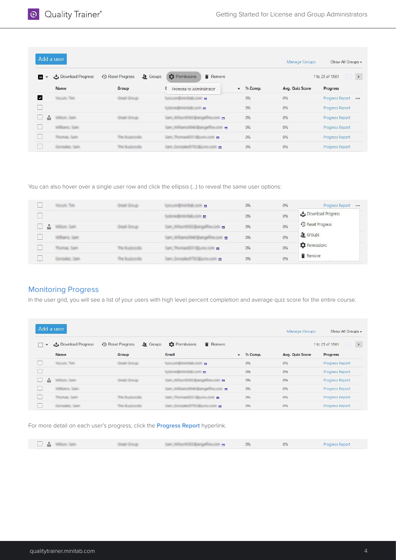|                                          | Add a user           |                                             |                                   |           | Manage Groups          | Show All Groups -           |
|------------------------------------------|----------------------|---------------------------------------------|-----------------------------------|-----------|------------------------|-----------------------------|
| - ≖                                      | Download Progress    | <b>49</b> Reset Progress<br><b>L</b> Groups | <b>C</b> Permissions<br>Remove    |           |                        | $\,$<br>1 to 25 of 1561     |
|                                          | <b>Name</b>          | Group                                       | Promote to Administrator          | v % Comp. | <b>Avg. Quiz Score</b> | Progress                    |
| M                                        | <b>Vocum, Time</b>   | <b>Creat Group</b>                          | $\blacksquare$                    | 0%        | 0%                     | Progress Report<br>$\cdots$ |
|                                          |                      |                                             | $\blacksquare$                    | 0%        | 0%                     | Progress Report             |
| $\mathbf{r}$<br>$\overline{\phantom{a}}$ | William Sam          | <b>Creat Group</b>                          | $\blacksquare$<br><b>CARD CAR</b> | 0%        | 0%                     | Progress Report             |
|                                          | <b>Illiams</b> , Sam |                                             | Santa<br>$\blacksquare$<br>$-$    | 0%        | 0%                     | Progress Report             |
|                                          | max. Cam             | The Buttombile                              | <b>Sam The</b><br>$\blacksquare$  | 0%        | 0%                     | Progress Report             |
|                                          | tallett, Santo       |                                             | $\blacksquare$                    | 0%        | 0%                     | Progress Report             |

You can also hover over a single user row and click the ellipsis (...) to reveal the same user options:

|   | <b>Worsen, Time</b> | $\mathbf{r}$                | 0% | 0% | Progress Report<br>$\cdots$ |
|---|---------------------|-----------------------------|----|----|-----------------------------|
|   |                     | $\blacksquare$              | 0% | 0% | Download Progress           |
| ů | <b>COLLEGE CA</b>   | $\mathbf{w}$                | 0% | 0% | <b>4</b> Reset Progress     |
|   | arros, Sans         | <b>CONTRACTOR</b><br>$\sim$ | 0% | 0% | $\Omega$ Groups             |
|   | <b>Santa</b>        | $\overline{\phantom{a}}$    | 0% | 0% | <b>Q</b> Permissions        |
|   | <b>Same</b>         | $\blacksquare$              | 0% | 0% | Remove                      |

#### Monitoring Progress

In the user grid, you will see a list of your users with high level percent completion and average quiz score for the entire course.

| Add a user           |                           |                                              |                                    |             | Manage Groups   | Show All Groups -       |
|----------------------|---------------------------|----------------------------------------------|------------------------------------|-------------|-----------------|-------------------------|
| $\blacktriangledown$ | Download Progress         | <b>Se</b> Groups<br><b>49</b> Reset Progress | <b>D</b> Permissions<br>Remove     |             |                 | $\,$<br>1 to 25 of 1561 |
|                      | <b>Name</b>               | Group                                        | Email                              | $-$ % Comp. | Avg. Quiz Score | Progress                |
|                      | <b>Moture, Ties</b>       | <b>Creat Group</b>                           | $\blacksquare$                     | 0%          | 0%              | Progress Report         |
|                      |                           |                                              | $\blacksquare$                     | 0%          | 0%              | Progress Report         |
| $\mathbf{a}$         | <b>Williams</b> , Sapital | <b>Creat Group</b>                           | $\blacksquare$<br><b>Districts</b> | 0%          | 0%              | Progress Report         |
|                      | Alilians, San             |                                              | $\blacksquare$                     | 0%          | 0%              | Progress Report         |
|                      | max. Cam-                 | The Bustmership                              | $\blacksquare$                     | 0%          | 0%              | Progress Report         |
|                      | called Sams               | The Bustminship                              | $\blacksquare$                     | 0%          | 0%              | Progress Report         |

For more detail on each user's progress, click the **Progress Report** hyperlink.

| A R |  |  |  | $-$<br>U2<br>$  -$ | U7L<br>$-1$ | Imaress Reno |
|-----|--|--|--|--------------------|-------------|--------------|
|-----|--|--|--|--------------------|-------------|--------------|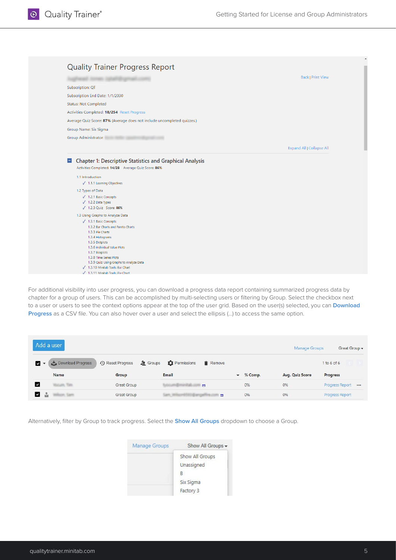| <b>Quality Trainer Progress Report</b>                                                                                                                                                                                                                                                       | <b>Back   Print View</b>         |
|----------------------------------------------------------------------------------------------------------------------------------------------------------------------------------------------------------------------------------------------------------------------------------------------|----------------------------------|
|                                                                                                                                                                                                                                                                                              |                                  |
| Subscription: QT                                                                                                                                                                                                                                                                             |                                  |
| Subscription End Date: 1/1/2030                                                                                                                                                                                                                                                              |                                  |
| <b>Status: Not Completed</b>                                                                                                                                                                                                                                                                 |                                  |
| Activities Completed: 18/254 Reset Progress                                                                                                                                                                                                                                                  |                                  |
| Average Quiz Score: 87% (Average does not include uncompleted quizzes.)                                                                                                                                                                                                                      |                                  |
| Group Name: Six Sigma                                                                                                                                                                                                                                                                        |                                  |
| Group Administrator:                                                                                                                                                                                                                                                                         |                                  |
|                                                                                                                                                                                                                                                                                              | <b>Expand All   Collapse All</b> |
| $\sqrt{1.1.1}$ Learning Objectives<br>1.2 Types of Data<br>$\sqrt{ }$ 1.2.1 Basic Concepts<br>$\sqrt{1.2.2}$ Data Types<br>√ 1.2.3 Quiz Score: 86%                                                                                                                                           |                                  |
| 1.3 Using Graphs to Analyze Data<br>$\sqrt{ }$ 1.3.1 Basic Concepts<br>1.3.2 Bar Charts and Pareto Charts<br>1.3.3 Pie Charts<br>1.3.4 Histograms<br>1.3.5 Dotplots<br>1.3.6 Individual Value Plots<br>1.3.7 Boxplots<br>1.3.8 Time Series Plots<br>1.3.9 Quiz: Using Graphs to Analyze Data |                                  |

For additional visibility into user progress, you can download a progress data report containing summarized progress data by chapter for a group of users. This can be accomplished by multi-selecting users or filtering by Group. Select the checkbox next to a user or users to see the context options appear at the top of the user grid. Based on the user(s) selected, you can **Download Progress** as a CSV file. You can also hover over a user and select the ellipsis (…) to access the same option.

| Add a user                    |                   |                                              |                                     |                   | Manage Groups   | Great Group +          |  |
|-------------------------------|-------------------|----------------------------------------------|-------------------------------------|-------------------|-----------------|------------------------|--|
| $\sim$                        | Download Progress | <b>49</b> Reset Progress<br><b>Se</b> Groups | <b>C</b> Permissions<br>Remove      |                   |                 | 1 to 6 of 6            |  |
|                               | <b>Name</b>       | Group                                        | <b>Email</b>                        | $\bullet$ % Comp. | Avg. Quiz Score | Progress               |  |
| $\checkmark$                  | <b>Bicum, Tim</b> | Great Group                                  | $\blacksquare$                      | 0%                | 0%              | Progress Report        |  |
| $\mathbf{z}$ and $\mathbf{z}$ | Wilson, Sant      | Great Group                                  | $\blacksquare$<br><b>STATISTICS</b> | 0%                | 0%              | <b>Progress Report</b> |  |

Alternatively, filter by Group to track progress. Select the **Show All Groups** dropdown to choose a Group.

| Manage Groups | Show All Groups - |
|---------------|-------------------|
|               | Show All Groups   |
|               | Unassigned        |
|               | B.                |
|               | Six Sigma         |
|               | Factory 3         |